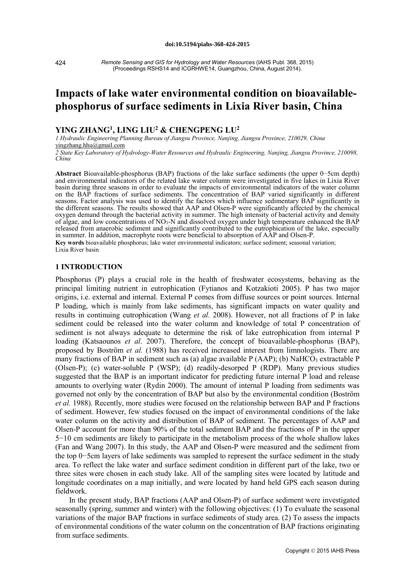424

*Remote Sensing and GIS for Hydrology and Water Resources* (IAHS Publ. 368, 2015) (Proceedings RSHS14 and ICGRHWE14, Guangzhou, China, August 2014).

# **Impacts of lake water environmental condition on bioavailablephosphorus of surface sediments in Lixia River basin, China**

# **YING ZHANG1, LING LIU2 & CHENGPENG LU2**

*1 Hydraulic Engineering Planning Bureau of Jiangsu Province, Nanjing, Jiangsu Province, 210029, China*  yingzhang.hhu@gmail.com

*<sup>2</sup> State Key Laboratory of Hydrology-Water Resources and Hydraulic Engineering, Nanjing, Jiangsu Province, 210098, China*

**Abstract** Bioavailable-phosphorus (BAP) fractions of the lake surface sediments (the upper 0−5cm depth) and environmental indicators of the related lake water column were investigated in five lakes in Lixia River basin during three seasons in order to evaluate the impacts of environmental indicators of the water column on the BAP fractions of surface sediments. The concentration of BAP varied significantly in different seasons. Factor analysis was used to identify the factors which influence sedimentary BAP significantly in the different seasons. The results showed that AAP and Olsen-P were significantly affected by the chemical oxygen demand through the bacterial activity in summer. The high intensity of bacterial activity and density of algae, and low concentrations of NO3-N and dissolved oxygen under high temperature enhanced the BAP released from anaerobic sediment and significantly contributed to the eutrophication of the lake, especially in summer. In addition, macrophyte roots were beneficial to absorption of AAP and Olsen-P. **Key words** bioavailable phosphorus; lake water environmental indicators; surface sediment; seasonal variation; Lixia River basin

## **1 INTRODUCTION**

Phosphorus (P) plays a crucial role in the health of freshwater ecosystems, behaving as the principal limiting nutrient in eutrophication (Fytianos and Kotzakioti 2005). P has two major origins, i.e. external and internal. External P comes from diffuse sources or point sources. Internal P loading, which is mainly from lake sediments, has significant impacts on water quality and results in continuing eutrophication (Wang *et al.* 2008). However, not all fractions of P in lake sediment could be released into the water column and knowledge of total P concentration of sediment is not always adequate to determine the risk of lake eutrophication from internal P loading (Katsaounos *et al*. 2007). Therefore, the concept of bioavailable-phosphorus (BAP), proposed by [Boström](http://www.springerlink.com/content/?Author=Bengt+Bostr%c3%b6m) *et al.* (1988) has received increased interest from limnologists. There are many fractions of BAP in sediment such as (a) algae available  $P(AAP)$ ; (b) NaHCO<sub>3</sub> extractable P (Olsen-P); (c) water-soluble P (WSP); (d) readily-desorped P (RDP). Many previous studies suggested that the BAP is an important indicator for predicting future internal P load and release amounts to overlying water (Rydin 2000). The amount of internal P loading from sediments was governed not only by the concentration of BAP but also by the environmental condition (Boström *et al.* 1988). Recently, more studies were focused on the relationship between BAP and P fractions of sediment. However, few studies focused on the impact of environmental conditions of the lake water column on the activity and distribution of BAP of sediment. The percentages of AAP and Olsen-P account for more than 90% of the total sediment BAP and the fractions of P in the upper 5−10 cm sediments are likely to participate in the metabolism process of the whole shallow lakes (Fan and Wang 2007). In this study, the AAP and Olsen-P were measured and the sediment from the top 0−5cm layers of lake sediments was sampled to represent the surface sediment in the study area. To reflect the lake water and surface sediment condition in different part of the lake, two or three sites were chosen in each study lake. All of the sampling sites were located by latitude and longitude coordinates on a map initially, and were located by hand held GPS each season during fieldwork.

In the present study, BAP fractions (AAP and Olsen-P) of surface sediment were investigated seasonally (spring, summer and winter) with the following objectives: (1) To evaluate the seasonal variations of the major BAP fractions in surface sediments of study area. (2) To assess the impacts of environmental conditions of the water column on the concentration of BAP fractions originating from surface sediments.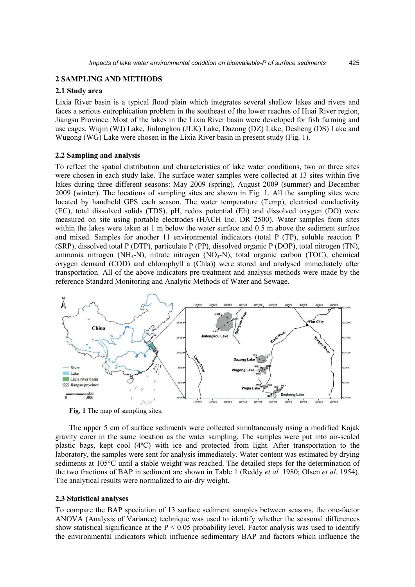# **2 SAMPLING AND METHODS**

## **2.1 Study area**

Lixia River basin is a typical flood plain which integrates several shallow lakes and rivers and faces a serious eutrophication problem in the southeast of the lower reaches of Huai River region, Jiangsu Province. Most of the lakes in the Lixia River basin were developed for fish farming and use cages. Wujin (WJ) Lake, Jiulongkou (JLK) Lake, Dazong (DZ) Lake, Desheng (DS) Lake and Wugong (WG) Lake were chosen in the Lixia River basin in present study (Fig. 1).

## **2.2 Sampling and analysis**

To reflect the spatial distribution and characteristics of lake water conditions, two or three sites were chosen in each study lake. The surface water samples were collected at 13 sites within five lakes during three different seasons: May 2009 (spring), August 2009 (summer) and December 2009 (winter). The locations of sampling sites are shown in Fig. 1. All the sampling sites were located by handheld GPS each season. The water temperature (Temp), electrical conductivity (EC), total dissolved solids (TDS), pH, redox potential (Eh) and dissolved oxygen (DO) were measured on site using portable electrodes (HACH Inc. DR 2500). Water samples from sites within the lakes were taken at 1 m below the water surface and 0.5 m above the sediment surface and mixed. Samples for another 11 environmental indicators (total P (TP), soluble reaction P (SRP), dissolved total P (DTP), particulate P (PP), dissolved organic P (DOP), total nitrogen (TN), ammonia nitrogen (NH<sub>4</sub>-N), nitrate nitrogen (NO<sub>3</sub>-N), total organic carbon (TOC), chemical oxygen demand (COD) and chlorophyll a (Chla)) were stored and analysed immediately after transportation. All of the above indicators pre-treatment and analysis methods were made by the reference Standard Monitoring and Analytic Methods of Water and Sewage.



**Fig. 1** The map of sampling sites.

The upper 5 cm of surface sediments were collected simultaneously using a modified Kajak gravity corer in the same location as the water sampling. The samples were put into air-sealed plastic bags, kept cool (4ºC) with ice and protected from light. After transportation to the laboratory, the samples were sent for analysis immediately. Water content was estimated by drying sediments at 105°C until a stable weight was reached. The detailed steps for the determination of the two fractions of BAP in sediment are shown in Table 1 (Reddy *et al.* 1980; Olsen *et al*. 1954). The analytical results were normalized to air-dry weight.

#### **2.3 Statistical analyses**

To compare the BAP speciation of 13 surface sediment samples between seasons, the one-factor ANOVA (Analysis of Variance) technique was used to identify whether the seasonal differences show statistical significance at the  $P < 0.05$  probability level. Factor analysis was used to identify the environmental indicators which influence sedimentary BAP and factors which influence the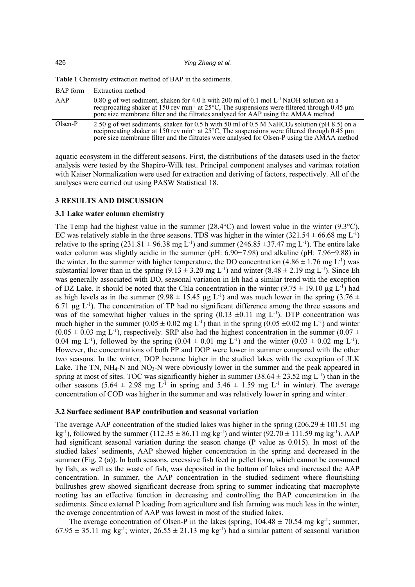| BAP form  | Extraction method                                                                                                                                                                                                                                                                                                       |
|-----------|-------------------------------------------------------------------------------------------------------------------------------------------------------------------------------------------------------------------------------------------------------------------------------------------------------------------------|
| AAP       | 0.80 g of wet sediment, shaken for 4.0 h with 200 ml of 0.1 mol $L^{-1}$ NaOH solution on a<br>reciprocating shaker at 150 rev min <sup>-1</sup> at 25 <sup>o</sup> C, The suspensions were filtered through 0.45 $\mu$ m<br>pore size membrane filter and the filtrates analysed for AAP using the AMAA method         |
| $Olsen-P$ | 2.50 g of wet sediments, shaken for 0.5 h with 50 ml of 0.5 M NaHCO <sub>3</sub> solution (pH 8.5) on a<br>reciprocating shaker at 150 rev min <sup>-1</sup> at 25°C, The suspensions were filtered through 0.45 $\mu$ m<br>pore size membrane filter and the filtrates were analysed for Olsen-P using the AMAA method |

**Table 1** Chemistry extraction method of BAP in the sediments.

aquatic ecosystem in the different seasons. First, the distributions of the datasets used in the factor analysis were tested by the Shapiro-Wilk test. Principal component analyses and varimax rotation with Kaiser Normalization were used for extraction and deriving of factors, respectively. All of the analyses were carried out using PASW Statistical 18.

#### **3 RESULTS AND DISCUSSION**

#### **3.1 Lake water column chemistry**

The Temp had the highest value in the summer  $(28.4^{\circ}C)$  and lowest value in the winter  $(9.3^{\circ}C)$ . EC was relatively stable in the three seasons. TDS was higher in the winter  $(321.54 \pm 66.68 \text{ mg L}^{-1})$ relative to the spring  $(231.81 \pm 96.38 \text{ mg L}^{-1})$  and summer  $(246.85 \pm 37.47 \text{ mg L}^{-1})$ . The entire lake water column was slightly acidic in the summer (pH: 6.90−7.98) and alkaline (pH: 7.96−9.88) in the winter. In the summer with higher temperature, the DO concentration  $(4.86 \pm 1.76 \text{ mg L}^{-1})$  was substantial lower than in the spring  $(9.13 \pm 3.20 \text{ mg L}^{-1})$  and winter  $(8.48 \pm 2.19 \text{ mg L}^{-1})$ . Since Eh was generally associated with DO, seasonal variation in Eh had a similar trend with the exception of DZ Lake. It should be noted that the Chla concentration in the winter  $(9.75 \pm 19.10 \,\mu g \,\text{L}^{-1})$  had as high levels as in the summer (9.98  $\pm$  15.45 µg L<sup>-1</sup>) and was much lower in the spring (3.76  $\pm$  $6.71 \mu g L^{-1}$ ). The concentration of TP had no significant difference among the three seasons and was of the somewhat higher values in the spring  $(0.13 \pm 0.11 \text{ mg L}^{-1})$ . DTP concentration was much higher in the summer  $(0.05 \pm 0.02 \text{ mg L}^{-1})$  than in the spring  $(0.05 \pm 0.02 \text{ mg L}^{-1})$  and winter  $(0.05 \pm 0.03 \text{ mg L}^{-1})$ , respectively. SRP also had the highest concentration in the summer  $(0.07 \pm 0.03 \text{ mg L}^{-1})$ 0.04 mg L<sup>-1</sup>), followed by the spring  $(0.04 \pm 0.01 \text{ mg L}^{-1})$  and the winter  $(0.03 \pm 0.02 \text{ mg L}^{-1})$ . However, the concentrations of both PP and DOP were lower in summer compared with the other two seasons. In the winter, DOP became higher in the studied lakes with the exception of JLK Lake. The TN,  $NH_4$ -N and  $NO_3$ -N were obviously lower in the summer and the peak appeared in spring at most of sites. TOC was significantly higher in summer  $(38.64 \pm 23.52 \text{ mg L}^{-1})$  than in the other seasons (5.64  $\pm$  2.98 mg L<sup>-1</sup> in spring and 5.46  $\pm$  1.59 mg L<sup>-1</sup> in winter). The average concentration of COD was higher in the summer and was relatively lower in spring and winter.

#### **3.2 Surface sediment BAP contribution and seasonal variation**

The average AAP concentration of the studied lakes was higher in the spring  $(206.29 \pm 101.51 \text{ mg})$ kg<sup>-1</sup>), followed by the summer (112.35  $\pm$  86.11 mg kg<sup>-1</sup>) and winter (92.70  $\pm$  111.59 mg kg<sup>-1</sup>). AAP had significant seasonal variation during the season change (P value as 0.015). In most of the studied lakes' sediments, AAP showed higher concentration in the spring and decreased in the summer (Fig. 2 (a)). In both seasons, excessive fish feed in pellet form, which cannot be consumed by fish, as well as the waste of fish, was deposited in the bottom of lakes and increased the AAP concentration. In summer, the AAP concentration in the studied sediment where flourishing bullrushes grew showed significant decrease from spring to summer indicating that macrophyte rooting has an effective function in decreasing and controlling the BAP concentration in the sediments. Since external P loading from agriculture and fish farming was much less in the winter, the average concentration of AAP was lowest in most of the studied lakes.

The average concentration of Olsen-P in the lakes (spring,  $104.48 \pm 70.54$  mg kg<sup>-1</sup>; summer,  $67.95 \pm 35.11$  mg kg<sup>-1</sup>; winter,  $26.55 \pm 21.13$  mg kg<sup>-1</sup>) had a similar pattern of seasonal variation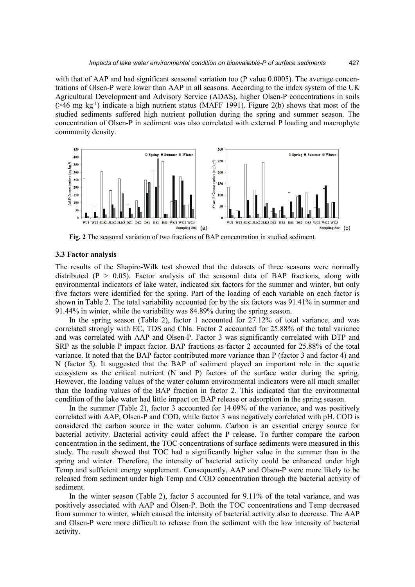with that of AAP and had significant seasonal variation too (P value 0.0005). The average concentrations of Olsen-P were lower than AAP in all seasons. According to the index system of the UK Agricultural Development and Advisory Service (ADAS), higher Olsen-P concentrations in soils  $($ >46 mg kg<sup>-1</sup>) indicate a high nutrient status (MAFF 1991). Figure 2(b) shows that most of the studied sediments suffered high nutrient pollution during the spring and summer season. The concentration of Olsen-P in sediment was also correlated with external P loading and macrophyte community density.



**Fig. 2** The seasonal variation of two fractions of BAP concentration in studied sediment.

#### **3.3 Factor analysis**

The results of the Shapiro-Wilk test showed that the datasets of three seasons were normally distributed ( $P > 0.05$ ). Factor analysis of the seasonal data of BAP fractions, along with environmental indicators of lake water, indicated six factors for the summer and winter, but only five factors were identified for the spring. Part of the loading of each variable on each factor is shown in Table 2. The total variability accounted for by the six factors was 91.41% in summer and 91.44% in winter, while the variability was 84.89% during the spring season.

In the spring season (Table 2), factor 1 accounted for 27.12% of total variance, and was correlated strongly with EC, TDS and Chla. Factor 2 accounted for 25.88% of the total variance and was correlated with AAP and Olsen-P. Factor 3 was significantly correlated with DTP and SRP as the soluble P impact factor. BAP fractions as factor 2 accounted for 25.88% of the total variance. It noted that the BAP factor contributed more variance than P (factor 3 and factor 4) and N (factor 5). It suggested that the BAP of sediment played an important role in the aquatic ecosystem as the critical nutrient (N and P) factors of the surface water during the spring. However, the loading values of the water column environmental indicators were all much smaller than the loading values of the BAP fraction in factor 2. This indicated that the environmental condition of the lake water had little impact on BAP release or adsorption in the spring season.

In the summer (Table 2), factor 3 accounted for 14.09% of the variance, and was positively correlated with AAP, Olsen-P and COD, while factor 3 was negatively correlated with pH. COD is considered the carbon source in the water column. Carbon is an essential energy source for bacterial activity. Bacterial activity could affect the P release. To further compare the carbon concentration in the sediment, the TOC concentrations of surface sediments were measured in this study. The result showed that TOC had a significantly higher value in the summer than in the spring and winter. Therefore, the intensity of bacterial activity could be enhanced under high Temp and sufficient energy supplement. Consequently, AAP and Olsen-P were more likely to be released from sediment under high Temp and COD concentration through the bacterial activity of sediment.

In the winter season (Table 2), factor 5 accounted for 9.11% of the total variance, and was positively associated with AAP and Olsen-P. Both the TOC concentrations and Temp decreased from summer to winter, which caused the intensity of bacterial activity also to decrease. The AAP and Olsen-P were more difficult to release from the sediment with the low intensity of bacterial activity.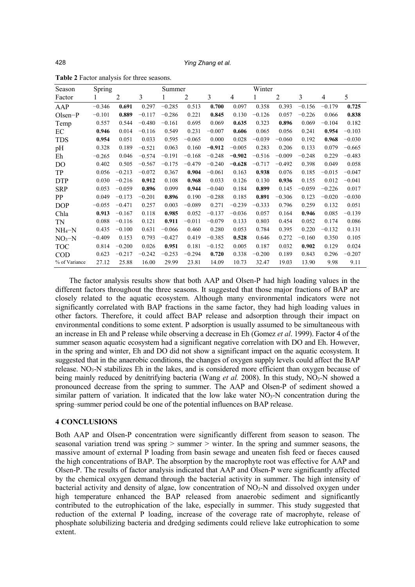| Season        | Spring   |          |          | Summer   |                |          |                | Winter   |          |          |          |          |
|---------------|----------|----------|----------|----------|----------------|----------|----------------|----------|----------|----------|----------|----------|
| Factor        |          | 2        | 3        |          | $\overline{2}$ | 3        | $\overline{4}$ |          | 2        | 3        | 4        | 5        |
| AAP           | $-0.346$ | 0.691    | 0.297    | $-0.285$ | 0.513          | 0.700    | 0.097          | 0.358    | 0.393    | $-0.156$ | $-0.179$ | 0.725    |
| $Olsen-P$     | $-0.101$ | 0.889    | $-0.117$ | $-0.286$ | 0.221          | 0.845    | 0.130          | $-0.126$ | 0.057    | $-0.226$ | 0.066    | 0.838    |
| Temp          | 0.557    | 0.544    | $-0.480$ | $-0.161$ | 0.695          | 0.069    | 0.635          | 0.323    | 0.896    | 0.069    | $-0.104$ | 0.182    |
| EC            | 0.946    | 0.014    | $-0.116$ | 0.549    | 0.231          | $-0.007$ | 0.606          | 0.065    | 0.056    | 0.241    | 0.954    | $-0.103$ |
| <b>TDS</b>    | 0.954    | 0.051    | 0.033    | 0.595    | $-0.065$       | 0.000    | 0.028          | $-0.039$ | $-0.060$ | 0.192    | 0.968    | $-0.030$ |
| pH            | 0.328    | 0.189    | $-0.521$ | 0.063    | 0.160          | $-0.912$ | $-0.005$       | 0.283    | 0.206    | 0.133    | 0.079    | $-0.665$ |
| Eh            | $-0.265$ | 0.046    | $-0.574$ | $-0.191$ | $-0.168$       | $-0.248$ | $-0.902$       | $-0.516$ | $-0.009$ | $-0.248$ | 0.229    | $-0.483$ |
| DO            | 0.402    | 0.505    | $-0.567$ | $-0.175$ | $-0.479$       | $-0.240$ | $-0.628$       | $-0.717$ | $-0.492$ | 0.398    | 0.049    | 0.058    |
| TP            | 0.056    | $-0.213$ | $-0.072$ | 0.367    | 0.904          | $-0.061$ | 0.163          | 0.938    | 0.076    | 0.185    | $-0.015$ | $-0.047$ |
| <b>DTP</b>    | 0.030    | $-0.216$ | 0.912    | 0.108    | 0.968          | 0.033    | 0.126          | 0.130    | 0.936    | 0.155    | 0.012    | $-0.041$ |
| <b>SRP</b>    | 0.053    | $-0.059$ | 0.896    | 0.099    | 0.944          | $-0.040$ | 0.184          | 0.899    | 0.145    | $-0.059$ | $-0.226$ | 0.017    |
| <b>PP</b>     | 0.049    | $-0.173$ | $-0.201$ | 0.896    | 0.190          | $-0.288$ | 0.185          | 0.891    | $-0.306$ | 0.123    | $-0.020$ | $-0.030$ |
| <b>DOP</b>    | $-0.055$ | $-0.471$ | 0.257    | 0.003    | $-0.089$       | 0.271    | $-0.239$       | $-0.333$ | 0.796    | 0.259    | 0.132    | 0.051    |
| Chla          | 0.913    | $-0.167$ | 0.118    | 0.985    | 0.052          | $-0.137$ | $-0.036$       | 0.057    | 0.164    | 0.946    | 0.085    | $-0.139$ |
| TN            | 0.088    | $-0.116$ | 0.121    | 0.911    | $-0.011$       | $-0.079$ | 0.133          | 0.803    | 0.454    | 0.052    | 0.174    | 0.086    |
| $NH_4-N$      | 0.435    | $-0.100$ | 0.631    | $-0.066$ | 0.460          | 0.280    | 0.053          | 0.784    | 0.395    | 0.220    | $-0.132$ | 0.131    |
| $NO3-N$       | $-0.409$ | 0.153    | 0.793    | $-0.427$ | 0.419          | $-0.385$ | 0.528          | 0.646    | 0.272    | $-0.160$ | 0.350    | 0.105    |
| <b>TOC</b>    | 0.814    | $-0.200$ | 0.026    | 0.951    | 0.181          | $-0.152$ | 0.005          | 0.187    | 0.032    | 0.902    | 0.129    | 0.024    |
| <b>COD</b>    | 0.623    | $-0.217$ | $-0.242$ | $-0.253$ | $-0.294$       | 0.720    | 0.338          | $-0.200$ | 0.189    | 0.843    | 0.296    | $-0.207$ |
| % of Variance | 27.12    | 25.88    | 16.00    | 29.99    | 23.81          | 14.09    | 10.73          | 32.47    | 19.03    | 13.90    | 9.98     | 9.11     |

**Table 2** Factor analysis for three seasons.

The factor analysis results show that both AAP and Olsen-P had high loading values in the different factors throughout the three seasons. It suggested that those major fractions of BAP are closely related to the aquatic ecosystem. Although many environmental indicators were not significantly correlated with BAP fractions in the same factor, they had high loading values in other factors. Therefore, it could affect BAP release and adsorption through their impact on environmental conditions to some extent. P adsorption is usually assumed to be simultaneous with an increase in Eh and P release while observing a decrease in Eh (Gomez *et al*. 1999). Factor 4 of the summer season aquatic ecosystem had a significant negative correlation with DO and Eh. However, in the spring and winter, Eh and DO did not show a significant impact on the aquatic ecosystem. It suggested that in the anaerobic conditions, the changes of oxygen supply levels could affect the BAP release. NO<sub>3</sub>-N stabilizes Eh in the lakes, and is considered more efficient than oxygen because of being mainly reduced by denitrifying bacteria (Wang *et al.* 2008). In this study, NO<sub>3</sub>-N showed a pronounced decrease from the spring to summer. The AAP and Olsen-P of sediment showed a similar pattern of variation. It indicated that the low lake water  $NO<sub>3</sub>-N$  concentration during the spring−summer period could be one of the potential influences on BAP release.

## **4 CONCLUSIONS**

Both AAP and Olsen-P concentration were significantly different from season to season. The seasonal variation trend was spring  $>$  summer  $>$  winter. In the spring and summer seasons, the massive amount of external P loading from basin sewage and uneaten fish feed or faeces caused the high concentrations of BAP. The absorption by the macrophyte root was effective for AAP and Olsen-P. The results of factor analysis indicated that AAP and Olsen-P were significantly affected by the chemical oxygen demand through the bacterial activity in summer. The high intensity of bacterial activity and density of algae, low concentration of  $NO<sub>3</sub>-N$  and dissolved oxygen under high temperature enhanced the BAP released from anaerobic sediment and significantly contributed to the eutrophication of the lake, especially in summer. This study suggested that reduction of the external P loading, increase of the coverage rate of macrophyte, release of phosphate solubilizing bacteria and dredging sediments could relieve lake eutrophication to some extent.